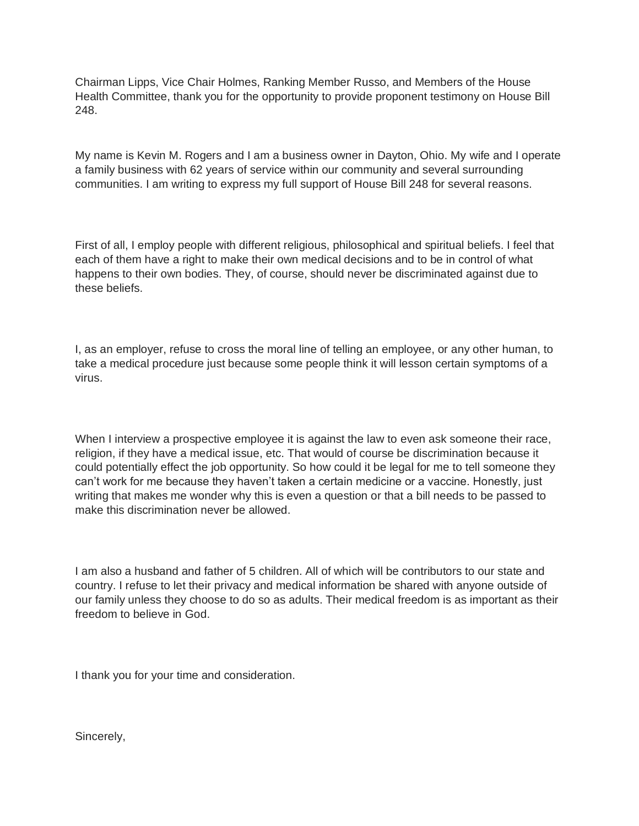Chairman Lipps, Vice Chair Holmes, Ranking Member Russo, and Members of the House Health Committee, thank you for the opportunity to provide proponent testimony on House Bill 248.

My name is Kevin M. Rogers and I am a business owner in Dayton, Ohio. My wife and I operate a family business with 62 years of service within our community and several surrounding communities. I am writing to express my full support of House Bill 248 for several reasons.

First of all, I employ people with different religious, philosophical and spiritual beliefs. I feel that each of them have a right to make their own medical decisions and to be in control of what happens to their own bodies. They, of course, should never be discriminated against due to these beliefs.

I, as an employer, refuse to cross the moral line of telling an employee, or any other human, to take a medical procedure just because some people think it will lesson certain symptoms of a virus.

When I interview a prospective employee it is against the law to even ask someone their race, religion, if they have a medical issue, etc. That would of course be discrimination because it could potentially effect the job opportunity. So how could it be legal for me to tell someone they can't work for me because they haven't taken a certain medicine or a vaccine. Honestly, just writing that makes me wonder why this is even a question or that a bill needs to be passed to make this discrimination never be allowed.

I am also a husband and father of 5 children. All of which will be contributors to our state and country. I refuse to let their privacy and medical information be shared with anyone outside of our family unless they choose to do so as adults. Their medical freedom is as important as their freedom to believe in God.

I thank you for your time and consideration.

Sincerely,